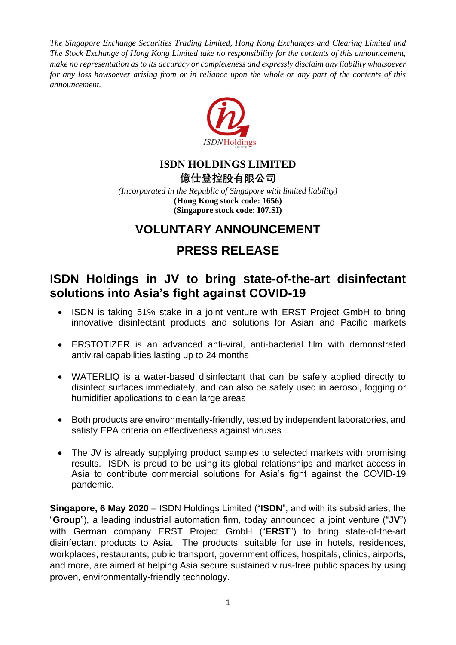*The Singapore Exchange Securities Trading Limited, Hong Kong Exchanges and Clearing Limited and The Stock Exchange of Hong Kong Limited take no responsibility for the contents of this announcement, make no representation as to its accuracy or completeness and expressly disclaim any liability whatsoever for any loss howsoever arising from or in reliance upon the whole or any part of the contents of this announcement.*



# **ISDN HOLDINGS LIMITED**

**億仕登控股有限公司**

*(Incorporated in the Republic of Singapore with limited liability)* **(Hong Kong stock code: 1656) (Singapore stock code: I07.SI)**

## **VOLUNTARY ANNOUNCEMENT**

# **PRESS RELEASE**

### **ISDN Holdings in JV to bring state-of-the-art disinfectant solutions into Asia's fight against COVID-19**

- ISDN is taking 51% stake in a joint venture with ERST Project GmbH to bring innovative disinfectant products and solutions for Asian and Pacific markets
- ERSTOTIZER is an advanced anti-viral, anti-bacterial film with demonstrated antiviral capabilities lasting up to 24 months
- WATERLIQ is a water-based disinfectant that can be safely applied directly to disinfect surfaces immediately, and can also be safely used in aerosol, fogging or humidifier applications to clean large areas
- Both products are environmentally-friendly, tested by independent laboratories, and satisfy EPA criteria on effectiveness against viruses
- The JV is already supplying product samples to selected markets with promising results. ISDN is proud to be using its global relationships and market access in Asia to contribute commercial solutions for Asia's fight against the COVID-19 pandemic.

**Singapore, 6 May 2020** – ISDN Holdings Limited ("**ISDN**", and with its subsidiaries, the "**Group**"), a leading industrial automation firm, today announced a joint venture ("**JV**") with German company ERST Project GmbH ("**ERST**") to bring state-of-the-art disinfectant products to Asia. The products, suitable for use in hotels, residences, workplaces, restaurants, public transport, government offices, hospitals, clinics, airports, and more, are aimed at helping Asia secure sustained virus-free public spaces by using proven, environmentally-friendly technology.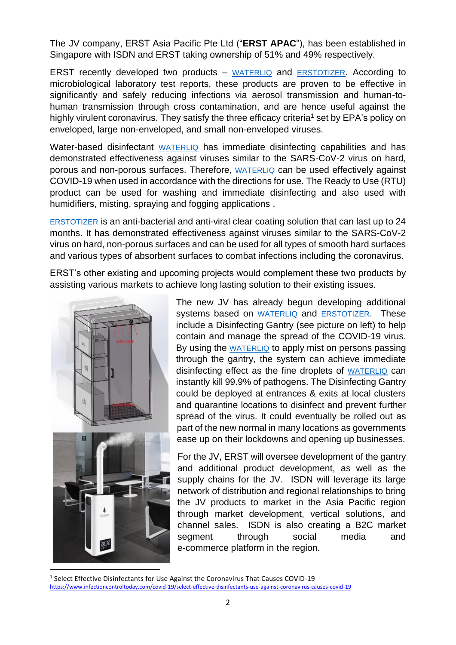The JV company, ERST Asia Pacific Pte Ltd ("**ERST APAC**"), has been established in Singapore with ISDN and ERST taking ownership of 51% and 49% respectively.

ERST recently developed two products – [WATERLIQ](https://www.dropbox.com/sh/ol8gtvl1fwtt2i1/AADxiYoJQhZvY1ZoKYOIYZVla?dl=0) and [ERSTOTIZER](https://www.dropbox.com/sh/hc4wl64bzb2t3wl/AAAkpW9IKKot9GiuB5qon7ZNa?dl=0). According to microbiological laboratory test reports, these products are proven to be effective in significantly and safely reducing infections via aerosol transmission and human-tohuman transmission through cross contamination, and are hence useful against the highly virulent coronavirus. They satisfy the three efficacy criteria<sup>1</sup> set by EPA's policy on enveloped, large non-enveloped, and small non-enveloped viruses.

Water-based disinfectant [WATERLIQ](https://www.dropbox.com/sh/ol8gtvl1fwtt2i1/AADxiYoJQhZvY1ZoKYOIYZVla?dl=0) has immediate disinfecting capabilities and has demonstrated effectiveness against viruses similar to the SARS-CoV-2 virus on hard, porous and non-porous surfaces. Therefore, [WATERLIQ](https://www.dropbox.com/sh/ol8gtvl1fwtt2i1/AADxiYoJQhZvY1ZoKYOIYZVla?dl=0) can be used effectively against COVID-19 when used in accordance with the directions for use. The Ready to Use (RTU) product can be used for washing and immediate disinfecting and also used with humidifiers, misting, spraying and fogging applications .

[ERSTOTIZER](https://www.dropbox.com/sh/hc4wl64bzb2t3wl/AAAkpW9IKKot9GiuB5qon7ZNa?dl=0) is an anti-bacterial and anti-viral clear coating solution that can last up to 24 months. It has demonstrated effectiveness against viruses similar to the SARS-CoV-2 virus on hard, non-porous surfaces and can be used for all types of smooth hard surfaces and various types of absorbent surfaces to combat infections including the coronavirus.

ERST's other existing and upcoming projects would complement these two products by assisting various markets to achieve long lasting solution to their existing issues.



The new JV has already begun developing additional systems based on [WATERLIQ](https://www.dropbox.com/sh/ol8gtvl1fwtt2i1/AADxiYoJQhZvY1ZoKYOIYZVla?dl=0) and [ERSTOTIZER](https://www.dropbox.com/sh/hc4wl64bzb2t3wl/AAAkpW9IKKot9GiuB5qon7ZNa?dl=0). These include a Disinfecting Gantry (see picture on left) to help contain and manage the spread of the COVID-19 virus. By using the [WATERLIQ](https://www.dropbox.com/sh/ol8gtvl1fwtt2i1/AADxiYoJQhZvY1ZoKYOIYZVla?dl=0) to apply mist on persons passing through the gantry, the system can achieve immediate disinfecting effect as the fine droplets of [WATERLIQ](https://www.dropbox.com/sh/ol8gtvl1fwtt2i1/AADxiYoJQhZvY1ZoKYOIYZVla?dl=0) can instantly kill 99.9% of pathogens. The Disinfecting Gantry could be deployed at entrances & exits at local clusters and quarantine locations to disinfect and prevent further spread of the virus. It could eventually be rolled out as part of the new normal in many locations as governments ease up on their lockdowns and opening up businesses.

For the JV, ERST will oversee development of the gantry and additional product development, as well as the supply chains for the JV. ISDN will leverage its large network of distribution and regional relationships to bring the JV products to market in the Asia Pacific region through market development, vertical solutions, and channel sales. ISDN is also creating a B2C market segment through social media and e-commerce platform in the region.

<sup>&</sup>lt;sup>1</sup> Select Effective Disinfectants for Use Against the Coronavirus That Causes COVID-19 <https://www.infectioncontroltoday.com/covid-19/select-effective-disinfectants-use-against-coronavirus-causes-covid-19>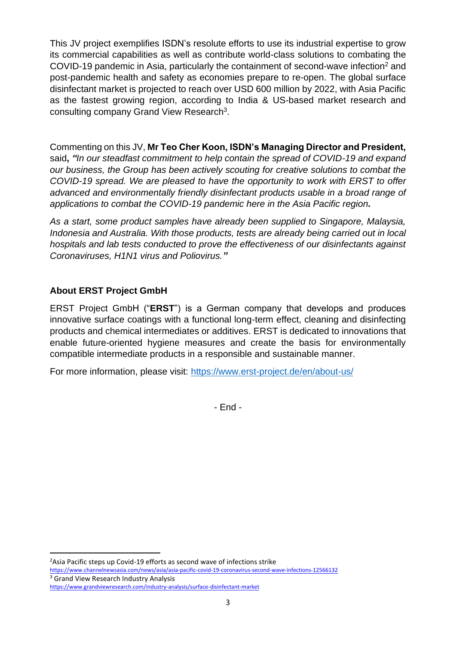This JV project exemplifies ISDN's resolute efforts to use its industrial expertise to grow its commercial capabilities as well as contribute world-class solutions to combating the COVID-19 pandemic in Asia, particularly the containment of second-wave infection<sup>2</sup> and post-pandemic health and safety as economies prepare to re-open. The global surface disinfectant market is projected to reach over USD 600 million by 2022, with Asia Pacific as the fastest growing region, according to India & US-based market research and consulting company Grand View Research<sup>3</sup>.

Commenting on this JV, **Mr Teo Cher Koon, ISDN's Managing Director and President,**  said**,** *"In our steadfast commitment to help contain the spread of COVID-19 and expand our business, the Group has been actively scouting for creative solutions to combat the COVID-19 spread. We are pleased to have the opportunity to work with ERST to offer advanced and environmentally friendly disinfectant products usable in a broad range of applications to combat the COVID-19 pandemic here in the Asia Pacific region.*

*As a start, some product samples have already been supplied to Singapore, Malaysia, Indonesia and Australia. With those products, tests are already being carried out in local hospitals and lab tests conducted to prove the effectiveness of our disinfectants against Coronaviruses, H1N1 virus and Poliovirus."*

### **About ERST Project GmbH**

ERST Project GmbH ("**ERST**") is a German company that develops and produces innovative surface coatings with a functional long-term effect, cleaning and disinfecting products and chemical intermediates or additives. ERST is dedicated to innovations that enable future-oriented hygiene measures and create the basis for environmentally compatible intermediate products in a responsible and sustainable manner.

For more information, please visit:<https://www.erst-project.de/en/about-us/>

- End -

<sup>&</sup>lt;sup>2</sup>Asia Pacific steps up Covid-19 efforts as second wave of infections strike

<https://www.channelnewsasia.com/news/asia/asia-pacific-covid-19-coronavirus-second-wave-infections-12566132>

<sup>&</sup>lt;sup>3</sup> Grand View Research Industry Analysis

<https://www.grandviewresearch.com/industry-analysis/surface-disinfectant-market>